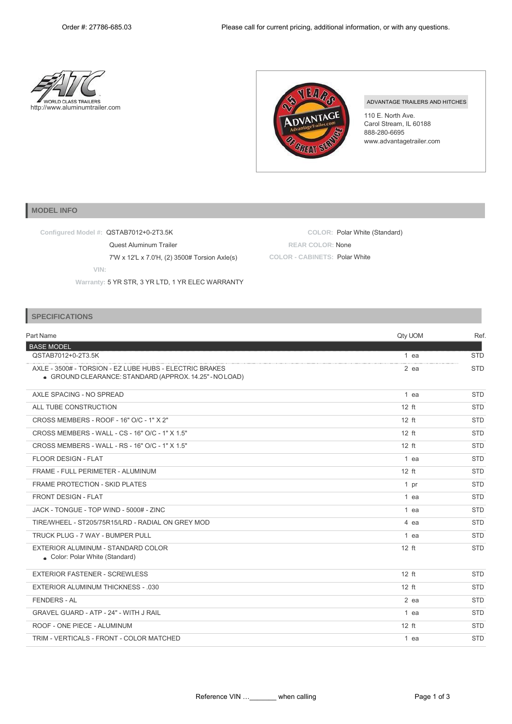**COLOR:** Polar White (Standard)





**REAR COLOR:** None **COLOR - CABINETS:** Polar White

## ADVANTAGE TRAILERS AND HITCHES

110 E. North Ave. Carol Stream, IL 60188 888-280-6695 [www.advantagetrailer.com](http://www.advantagetrailer.com/)

## **MODEL INFO**

**Configured Model #:** QSTAB7012+0-2T3.5K

Quest Aluminum Trailer

7'W x 12'L x 7.0'H, (2) 3500# Torsion Axle(s)

**VIN:**

**Warranty:** 5 YR STR, 3 YR LTD, 1 YR ELEC WARRANTY

## **SPECIFICATIONS**

| Part Name                                                                                                          | Qty UOM | Ref.       |
|--------------------------------------------------------------------------------------------------------------------|---------|------------|
| <b>BASE MODEL</b>                                                                                                  |         |            |
| QSTAB7012+0-2T3.5K                                                                                                 | 1 ea    | <b>STD</b> |
| AXLE - 3500# - TORSION - EZ LUBE HUBS - ELECTRIC BRAKES<br>• GROUND CLEARANCE: STANDARD (APPROX. 14.25" - NO LOAD) | $2$ ea  | <b>STD</b> |
| AXLE SPACING - NO SPREAD                                                                                           | 1 ea    | <b>STD</b> |
| ALL TUBE CONSTRUCTION                                                                                              | $12$ ft | <b>STD</b> |
| CROSS MEMBERS - ROOF - 16" O/C - 1" X 2"                                                                           | $12$ ft | <b>STD</b> |
| CROSS MEMBERS - WALL - CS - 16" O/C - 1" X 1.5"                                                                    | $12$ ft | <b>STD</b> |
| CROSS MEMBERS - WALL - RS - 16" O/C - 1" X 1.5"                                                                    | $12$ ft | <b>STD</b> |
| <b>FLOOR DESIGN - FLAT</b>                                                                                         | 1 ea    | <b>STD</b> |
| FRAME - FULL PERIMETER - ALUMINUM                                                                                  | $12$ ft | <b>STD</b> |
| <b>FRAME PROTECTION - SKID PLATES</b>                                                                              | 1 pr    | <b>STD</b> |
| FRONT DESIGN - FLAT                                                                                                | 1 ea    | <b>STD</b> |
| JACK - TONGUE - TOP WIND - 5000# - ZINC                                                                            | 1 ea    | <b>STD</b> |
| TIRE/WHEEL - ST205/75R15/LRD - RADIAL ON GREY MOD                                                                  | 4 ea    | <b>STD</b> |
| TRUCK PLUG - 7 WAY - BUMPER PULL                                                                                   | $1$ ea  | <b>STD</b> |
| EXTERIOR ALUMINUM - STANDARD COLOR<br>Color: Polar White (Standard)                                                | $12$ ft | <b>STD</b> |
| <b>EXTERIOR FASTENER - SCREWLESS</b>                                                                               | $12$ ft | <b>STD</b> |
| <b>EXTERIOR ALUMINUM THICKNESS - .030</b>                                                                          | $12$ ft | <b>STD</b> |
| <b>FENDERS - AL</b>                                                                                                | $2$ ea  | <b>STD</b> |
| <b>GRAVEL GUARD - ATP - 24" - WITH J RAIL</b>                                                                      | $1$ ea  | <b>STD</b> |
| ROOF - ONE PIECE - ALUMINUM                                                                                        | $12$ ft | <b>STD</b> |
| TRIM - VERTICALS - FRONT - COLOR MATCHED                                                                           | 1 ea    | <b>STD</b> |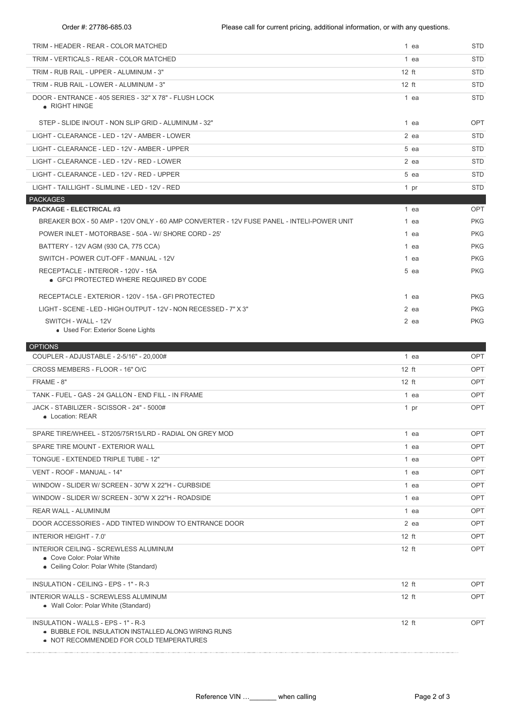| TRIM - HEADER - REAR - COLOR MATCHED                                                                          | 1 ea    | <b>STD</b> |
|---------------------------------------------------------------------------------------------------------------|---------|------------|
| TRIM - VERTICALS - REAR - COLOR MATCHED                                                                       | 1 ea    | STD        |
| TRIM - RUB RAIL - UPPER - ALUMINUM - 3"                                                                       | $12$ ft | STD        |
| TRIM - RUB RAIL - LOWER - ALUMINUM - 3"                                                                       | $12$ ft | <b>STD</b> |
| DOOR - ENTRANCE - 405 SERIES - 32" X 78" - FLUSH LOCK<br>• RIGHT HINGE                                        | 1 ea    | <b>STD</b> |
| STEP - SLIDE IN/OUT - NON SLIP GRID - ALUMINUM - 32"                                                          | 1 ea    | <b>OPT</b> |
| LIGHT - CLEARANCE - LED - 12V - AMBER - LOWER                                                                 | 2 ea    | STD        |
| LIGHT - CLEARANCE - LED - 12V - AMBER - UPPER                                                                 | $5$ ea  | <b>STD</b> |
| LIGHT - CLEARANCE - LED - 12V - RED - LOWER                                                                   | 2 ea    | STD        |
| LIGHT - CLEARANCE - LED - 12V - RED - UPPER                                                                   | 5 ea    | STD        |
| LIGHT - TAILLIGHT - SLIMLINE - LED - 12V - RED                                                                | 1 pr    | <b>STD</b> |
| <b>PACKAGES</b>                                                                                               |         |            |
| <b>PACKAGE - ELECTRICAL #3</b>                                                                                | 1 ea    | OPT        |
| BREAKER BOX - 50 AMP - 120V ONLY - 60 AMP CONVERTER - 12V FUSE PANEL - INTELI-POWER UNIT                      | 1 ea    | <b>PKG</b> |
| POWER INLET - MOTORBASE - 50A - W/ SHORE CORD - 25'                                                           | 1 ea    | <b>PKG</b> |
| BATTERY - 12V AGM (930 CA, 775 CCA)                                                                           | 1 ea    | <b>PKG</b> |
| SWITCH - POWER CUT-OFF - MANUAL - 12V                                                                         | 1 ea    | <b>PKG</b> |
| RECEPTACLE - INTERIOR - 120V - 15A<br>• GFCI PROTECTED WHERE REQUIRED BY CODE                                 | 5 ea    | <b>PKG</b> |
| RECEPTACLE - EXTERIOR - 120V - 15A - GFI PROTECTED                                                            | 1 ea    | <b>PKG</b> |
| LIGHT - SCENE - LED - HIGH OUTPUT - 12V - NON RECESSED - 7" X 3"                                              | 2 ea    | <b>PKG</b> |
| SWITCH - WALL - 12V<br>• Used For: Exterior Scene Lights                                                      | 2 ea    | <b>PKG</b> |
|                                                                                                               |         |            |
| <b>OPTIONS</b>                                                                                                |         |            |
| COUPLER - ADJUSTABLE - 2-5/16" - 20,000#                                                                      | 1 ea    | OPT        |
| CROSS MEMBERS - FLOOR - 16" O/C                                                                               | $12$ ft | <b>OPT</b> |
| FRAME - 8"                                                                                                    | $12$ ft | <b>OPT</b> |
| TANK - FUEL - GAS - 24 GALLON - END FILL - IN FRAME                                                           | 1 ea    | <b>OPT</b> |
| JACK - STABILIZER - SCISSOR - 24" - 5000#<br>• Location: REAR                                                 | 1 pr    | <b>OPT</b> |
| SPARE TIRE/WHEEL - ST205/75R15/LRD - RADIAL ON GREY MOD                                                       | 1 ea    | <b>OPT</b> |
| SPARE TIRE MOUNT - EXTERIOR WALL                                                                              | 1 ea    | OPT        |
| TONGUE - EXTENDED TRIPLE TUBE - 12"                                                                           | 1 ea    | OPT        |
| VENT - ROOF - MANUAL - 14"                                                                                    | 1 ea    | OPT        |
| WINDOW - SLIDER W/ SCREEN - 30"W X 22"H - CURBSIDE                                                            | 1 ea    | OPT        |
| WINDOW - SLIDER W/ SCREEN - 30"W X 22"H - ROADSIDE                                                            | 1 ea    | OPT        |
| REAR WALL - ALUMINUM                                                                                          | 1 ea    | OPT        |
| DOOR ACCESSORIES - ADD TINTED WINDOW TO ENTRANCE DOOR                                                         | 2 ea    | <b>OPT</b> |
| <b>INTERIOR HEIGHT - 7.0'</b>                                                                                 | $12$ ft | OPT        |
| INTERIOR CEILING - SCREWLESS ALUMINUM<br>• Cove Color: Polar White<br>• Ceiling Color: Polar White (Standard) | $12$ ft | OPT        |
|                                                                                                               |         |            |
| INSULATION - CEILING - EPS - 1" - R-3                                                                         | $12$ ft | OPT        |
| INTERIOR WALLS - SCREWLESS ALUMINUM<br>• Wall Color: Polar White (Standard)                                   | $12$ ft | <b>OPT</b> |